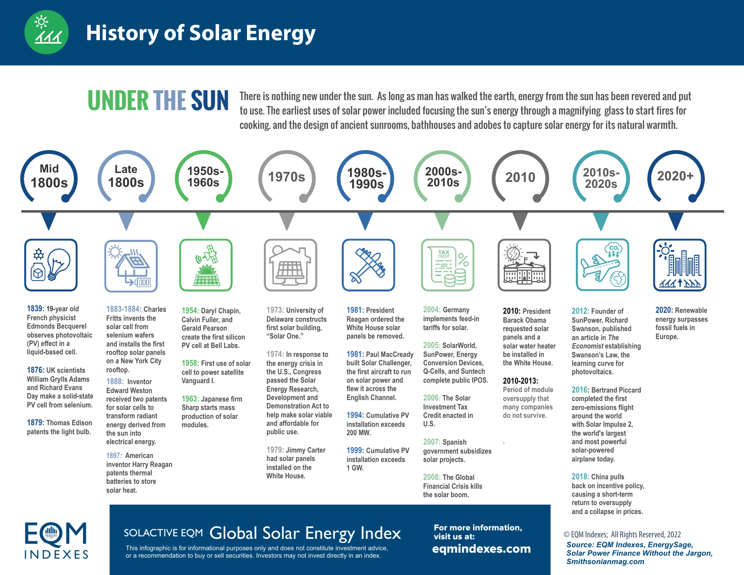

I N D F X F S

#### **History of Solar Energy**

This infographic is for informational purposes only and does not constitute investment advice, or a recommendation to buy or sell securities. Investors may not invest directly in an index.

UNDER THE SUN There is nothing new under the sun. As long as man has walked the earth, energy from the sun has been revered and put<br>to use. The earliest uses of solar power included focusing the sun's energy through a magn cooking. and the design of ancient sunrooms, bathhouses and adobes to capture solar energy for its natural warmth.



#### *Source: EQM Indexes, EnergySage, Solar Power Finance Without the Jargon, Smithsonianmag.com*

SOLACTIVE EQM Global Solar Energy Index<br>
This infographic is for informational purposes only and does not constitute investment advice,<br>
This infographic is for informational purposes only and does not constitute investmen eqmindexes.com For more information, visit us at: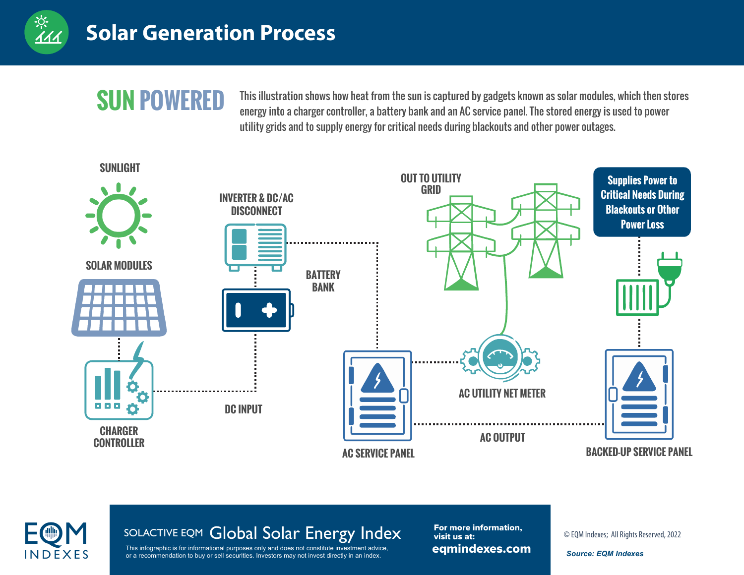

## **SUN POWERED**

This illustration shows how heat from the sun is captured by gadgets known as solar modules, which then stores energy into a charger controller, a battery bank and an AC service panel. The stored energy is used to power utility grids and to supply energy for critical needs during blackouts and other power outages.





# SOLACTIVE EQM Global Solar Energy Index<br>
This infographic is for informational purposes only and does not constitute investment advice,<br>
This infographic is for informational purposes only and does not constitute investmen

**INDEXES** or a recommendation to buy or sell securities. Investors may not invest directly in an index. This infographic is for informational purposes only and does not constitute investment advice,

eqmindexes.com For more information, visit us at: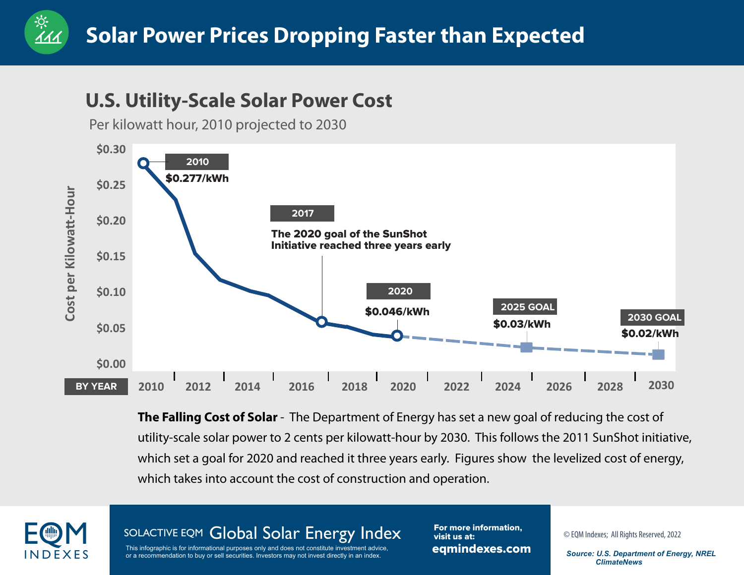#### **U.S. Utility-Scale Solar Power Cost**

Per kilowatt hour, 2010 projected to 2030



**The Falling Cost of Solar** - The Department of Energy has set a new goal of reducing the cost of utility-scale solar power to 2 cents per kilowatt-hour by 2030. This follows the 2011 SunShot initiative, which set a goal for 2020 and reached it three years early. Figures show the levelized cost of energy, which takes into account the cost of construction and operation.



<u>्</u><br>११

SOLACTIVE EQM Global Solar Energy Index<br>
This infographic is for informational purposes only and does not constitute investment advice,<br>
This infographic is for informational purposes only and does not constitute investmen

**INDEXES** or a recommendation to buy or sell securities. Investors may not invest directly in an index.<br> **INDEXES** or a recommendation to buy or sell securities. Investors may not invest directly in an index. This infographic is for informational purposes only and does not constitute investment advice,

eqmindexes.com For more information, visit us at:

 *ClimateNews*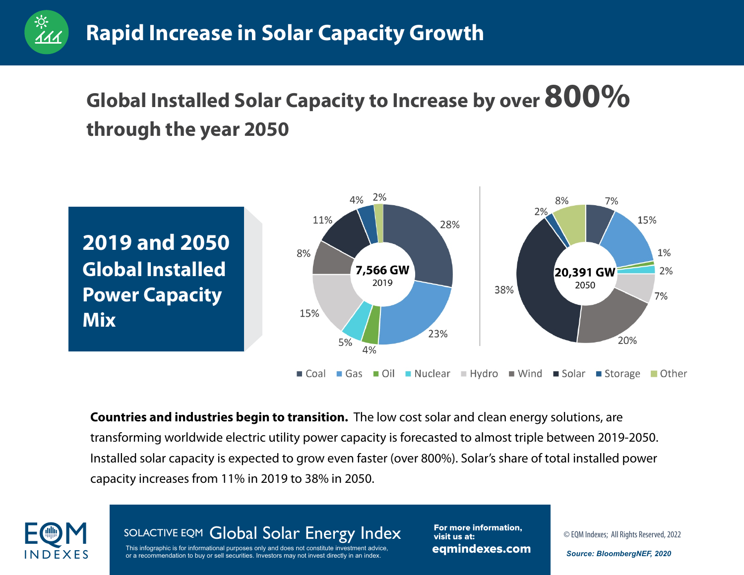### **Global Installed Solar Capacity to Increase by over 800% through the year 2050**



**Countries and industries begin to transition.** The low cost solar and clean energy solutions, are transforming worldwide electric utility power capacity is forecasted to almost triple between 2019-2050. Installed solar capacity is expected to grow even faster (over 800%). Solar's share of total installed power capacity increases from 11% in 2019 to 38% in 2050.



ः<br>111

SOLACTIVE EQM Global Solar Energy Index<br>
This infographic is for informational purposes only and does not constitute investment advice,<br>
This infographic is for informational purposes only and does not constitute investmen

**INDEXES** or a recommendation to buy or sell securities. Investors may not invest directly in an index. This infographic is for informational purposes only and does not constitute investment advice,

eqmindexes.com For more information, visit us at: